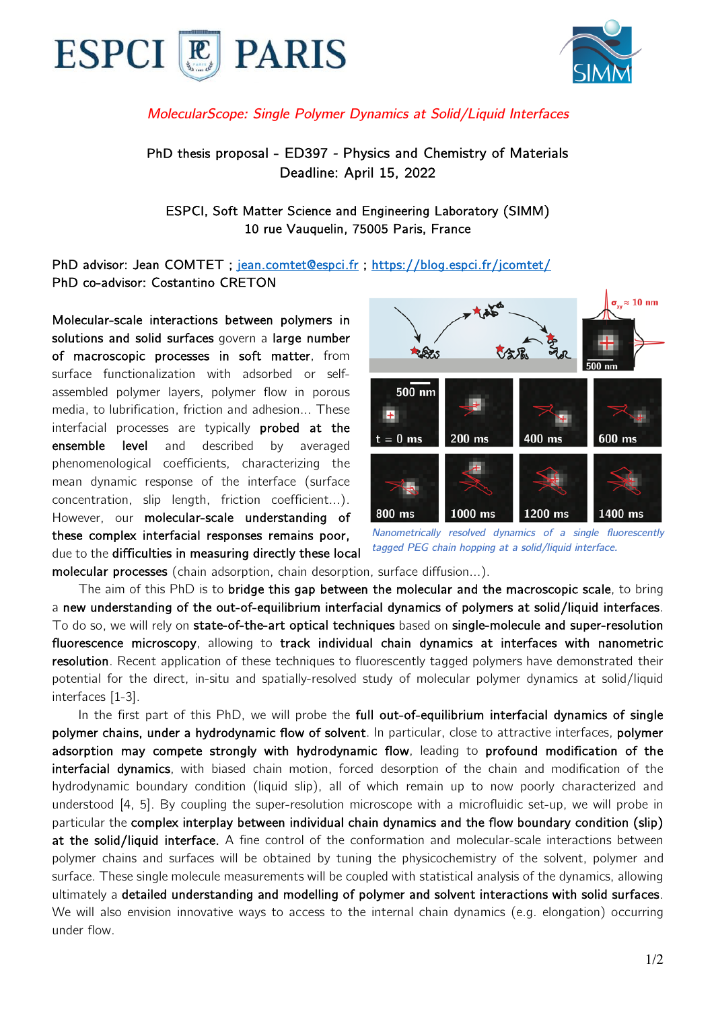



## *MolecularScope: Single Polymer Dynamics at Solid/Liquid Interfaces*

PhD thesis proposal - ED397 *-* Physics and Chemistry of Materials Deadline: April 15, 2022

ESPCI, Soft Matter Science and Engineering Laboratory (SIMM) 10 rue Vauquelin, 75005 Paris, France

PhD advisor: Jean COMTET ; jean.comtet@espci.fr ; https://blog.espci.fr/jcomtet/ PhD co-advisor: Costantino CRETON

Molecular-scale interactions between polymers in solutions and solid surfaces govern a large number of macroscopic processes in soft matter, from surface functionalization with adsorbed or selfassembled polymer layers, polymer flow in porous media, to lubrification, friction and adhesion... These interfacial processes are typically probed at the ensemble level and described by averaged phenomenological coefficients, characterizing the mean dynamic response of the interface (surface concentration, slip length, friction coefficient…). However, our molecular-scale understanding of these complex interfacial responses remains poor, due to the difficulties in measuring directly these local



*Nanometrically resolved dynamics of a single fluorescently tagged PEG chain hopping at a solid/liquid interface.*

molecular processes (chain adsorption, chain desorption, surface diffusion…).

 The aim of this PhD is to bridge this gap between the molecular and the macroscopic scale, to bring a new understanding of the out-of-equilibrium interfacial dynamics of polymers at solid/liquid interfaces. To do so, we will rely on state-of-the-art optical techniques based on single-molecule and super-resolution fluorescence microscopy, allowing to track individual chain dynamics at interfaces with nanometric resolution. Recent application of these techniques to fluorescently tagged polymers have demonstrated their potential for the direct, in-situ and spatially-resolved study of molecular polymer dynamics at solid/liquid interfaces [1-3].

In the first part of this PhD, we will probe the full out-of-equilibrium interfacial dynamics of single polymer chains, under a hydrodynamic flow of solvent. In particular, close to attractive interfaces, polymer adsorption may compete strongly with hydrodynamic flow, leading to profound modification of the interfacial dynamics, with biased chain motion, forced desorption of the chain and modification of the hydrodynamic boundary condition (liquid slip), all of which remain up to now poorly characterized and understood [4, 5]. By coupling the super-resolution microscope with a microfluidic set-up, we will probe in particular the complex interplay between individual chain dynamics and the flow boundary condition (slip) at the solid/liquid interface. A fine control of the conformation and molecular-scale interactions between polymer chains and surfaces will be obtained by tuning the physicochemistry of the solvent, polymer and surface. These single molecule measurements will be coupled with statistical analysis of the dynamics, allowing ultimately a detailed understanding and modelling of polymer and solvent interactions with solid surfaces. We will also envision innovative ways to access to the internal chain dynamics (e.g. elongation) occurring under flow.